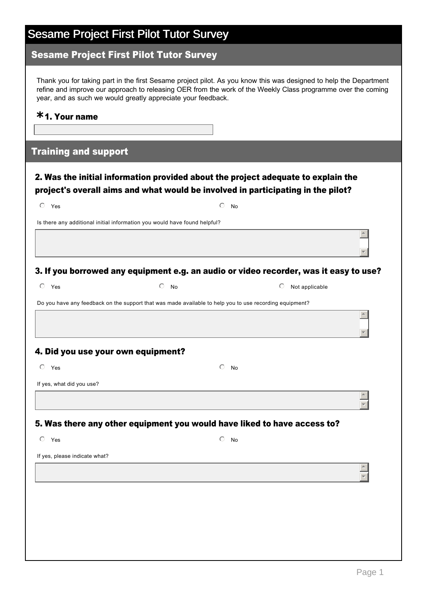## Sesame Project First Pilot Tutor Survey

#### Sesame Project First Pilot Tutor Survey

Thank you for taking part in the first Sesame project pilot. As you know this was designed to help the Department refine and improve our approach to releasing OER from the work of the Weekly Class programme over the coming year, and as such we would greatly appreciate your feedback.

### 1. Your name **\***

#### Training and support

#### 2. Was the initial information provided about the project adequate to explain the project's overall aims and what would be involved in participating in the pilot?

| $\circ$ Yes                        | $\bigcirc$                                                                                              | <b>No</b>                                                                             |  |
|------------------------------------|---------------------------------------------------------------------------------------------------------|---------------------------------------------------------------------------------------|--|
|                                    | Is there any additional initial information you would have found helpful?                               |                                                                                       |  |
|                                    |                                                                                                         |                                                                                       |  |
|                                    |                                                                                                         | 3. If you borrowed any equipment e.g. an audio or video recorder, was it easy to use? |  |
| $\circ$ Yes                        | $\circ$ No                                                                                              | Not applicable<br>$\circ$                                                             |  |
|                                    | Do you have any feedback on the support that was made available to help you to use recording equipment? |                                                                                       |  |
|                                    |                                                                                                         |                                                                                       |  |
| 4. Did you use your own equipment? |                                                                                                         |                                                                                       |  |
| $O$ Yes                            | $\bigcirc$                                                                                              | <b>No</b>                                                                             |  |
| If yes, what did you use?          |                                                                                                         |                                                                                       |  |
|                                    |                                                                                                         |                                                                                       |  |
|                                    |                                                                                                         | 5. Was there any other equipment you would have liked to have access to?              |  |
| $\circ$<br>Yes                     | $\circ$                                                                                                 | <b>No</b>                                                                             |  |
| If yes, please indicate what?      |                                                                                                         |                                                                                       |  |
|                                    |                                                                                                         |                                                                                       |  |

 $\vert \nabla \vert$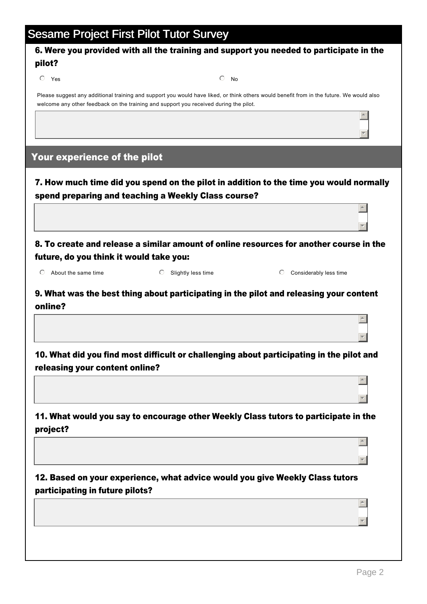## Sesame Project First Pilot Tutor Survey

#### 6. Were you provided with all the training and support you needed to participate in the pilot?

 $\overline{\textcircled{\small{\bullet}}}$  Yes  $\overline{\textcirc}$  No

Please suggest any additional training and support you would have liked, or think others would benefit from in the future. We would also welcome any other feedback on the training and support you received during the pilot.

#### Your experience of the pilot

7. How much time did you spend on the pilot in addition to the time you would normally spend preparing and teaching a Weekly Class course?

8. To create and release a similar amount of online resources for another course in the future, do you think it would take you:

 $\overline{C}$  About the same time nmlki  $\overline{C}$  Slightly less time nmlki Considerably less time

 $\overline{\phantom{a}}$ 

 $\overline{\phantom{a}}$ 

र |

▼∥

 $\overline{a}$ 

 $\overline{\phantom{a}}$ 

 $\overline{a}$ 

 $\overline{\phantom{a}}$ 

 $\triangle$ 

र |

 $\triangle$ 

र |

9. What was the best thing about participating in the pilot and releasing your content online?

10. What did you find most difficult or challenging about participating in the pilot and releasing your content online?

11. What would you say to encourage other Weekly Class tutors to participate in the project?

12. Based on your experience, what advice would you give Weekly Class tutors participating in future pilots?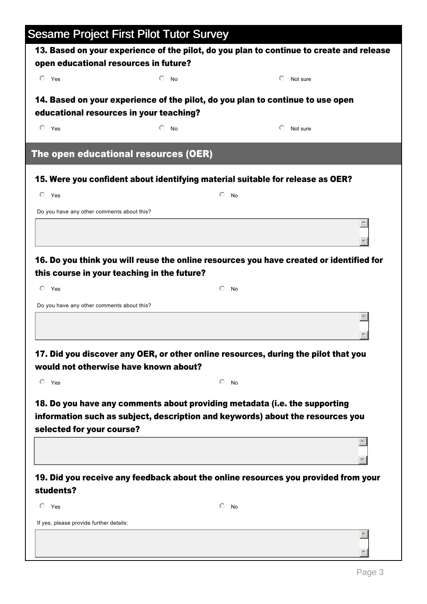|                                                           | <b>Sesame Project First Pilot Tutor Survey</b>                                                                            |                  |                                                                                          |
|-----------------------------------------------------------|---------------------------------------------------------------------------------------------------------------------------|------------------|------------------------------------------------------------------------------------------|
|                                                           |                                                                                                                           |                  | 13. Based on your experience of the pilot, do you plan to continue to create and release |
| open educational resources in future?<br>$O$ Yes          | $\bigcirc$                                                                                                                |                  | ⊙                                                                                        |
|                                                           | <b>No</b>                                                                                                                 |                  | Not sure                                                                                 |
|                                                           | 14. Based on your experience of the pilot, do you plan to continue to use open<br>educational resources in your teaching? |                  |                                                                                          |
| $O$ Yes                                                   | $\bigcirc$<br><b>No</b>                                                                                                   |                  | ⊙<br>Not sure                                                                            |
|                                                           | The open educational resources (OER)                                                                                      |                  |                                                                                          |
|                                                           | 15. Were you confident about identifying material suitable for release as OER?                                            |                  |                                                                                          |
| $\odot$<br>Yes                                            |                                                                                                                           | ⊙<br><b>No</b>   |                                                                                          |
| Do you have any other comments about this?                |                                                                                                                           |                  |                                                                                          |
|                                                           |                                                                                                                           |                  |                                                                                          |
| $\circ$ Yes<br>Do you have any other comments about this? |                                                                                                                           | ⊙<br><b>No</b>   |                                                                                          |
|                                                           |                                                                                                                           |                  |                                                                                          |
|                                                           |                                                                                                                           |                  | 17. Did you discover any OER, or other online resources, during the pilot that you       |
|                                                           | would not otherwise have known about?                                                                                     |                  |                                                                                          |
| $\circ$ Yes                                               |                                                                                                                           | $\odot$ No       |                                                                                          |
| selected for your course?                                 | 18. Do you have any comments about providing metadata (i.e. the supporting                                                |                  | information such as subject, description and keywords) about the resources you           |
|                                                           |                                                                                                                           |                  |                                                                                          |
| students?                                                 |                                                                                                                           |                  | 19. Did you receive any feedback about the online resources you provided from your       |
| $\circ$ Yes                                               |                                                                                                                           | $\bigcirc$<br>No |                                                                                          |
| If yes, please provide further details:                   |                                                                                                                           |                  |                                                                                          |
|                                                           |                                                                                                                           |                  |                                                                                          |
|                                                           |                                                                                                                           |                  |                                                                                          |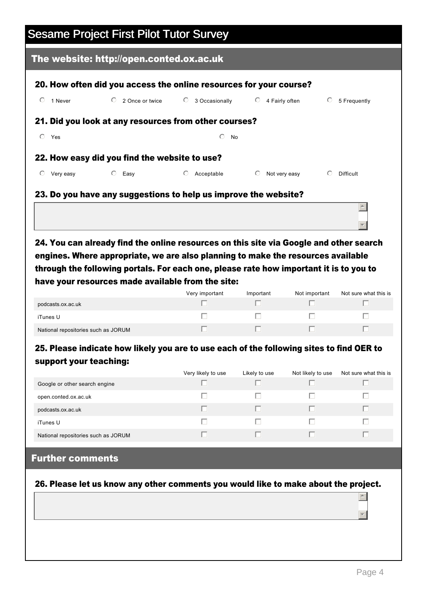